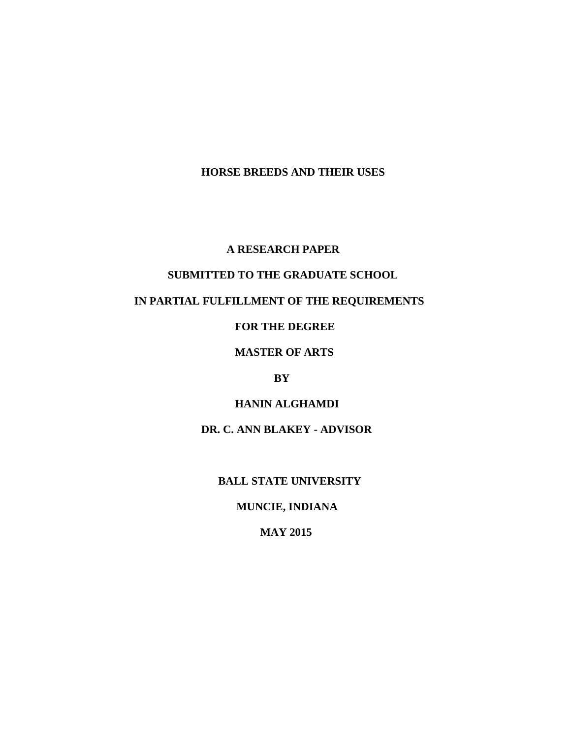## **HORSE BREEDS AND THEIR USES**

#### **A RESEARCH PAPER**

## **SUBMITTED TO THE GRADUATE SCHOOL**

## **IN PARTIAL FULFILLMENT OF THE REQUIREMENTS**

## **FOR THE DEGREE**

## **MASTER OF ARTS**

### **BY**

## **HANIN ALGHAMDI**

## **DR. C. ANN BLAKEY - ADVISOR**

### **BALL STATE UNIVERSITY**

## **MUNCIE, INDIANA**

## **MAY 2015**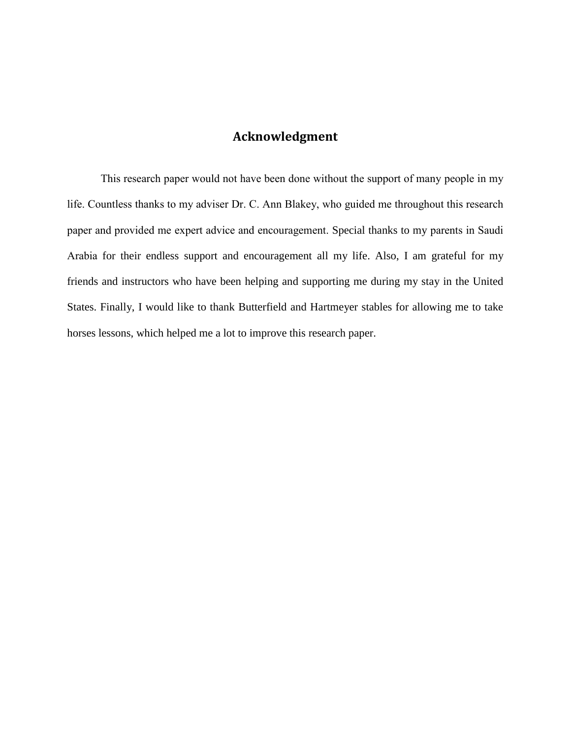## **Acknowledgment**

This research paper would not have been done without the support of many people in my life. Countless thanks to my adviser Dr. C. Ann Blakey, who guided me throughout this research paper and provided me expert advice and encouragement. Special thanks to my parents in Saudi Arabia for their endless support and encouragement all my life. Also, I am grateful for my friends and instructors who have been helping and supporting me during my stay in the United States. Finally, I would like to thank Butterfield and Hartmeyer stables for allowing me to take horses lessons, which helped me a lot to improve this research paper.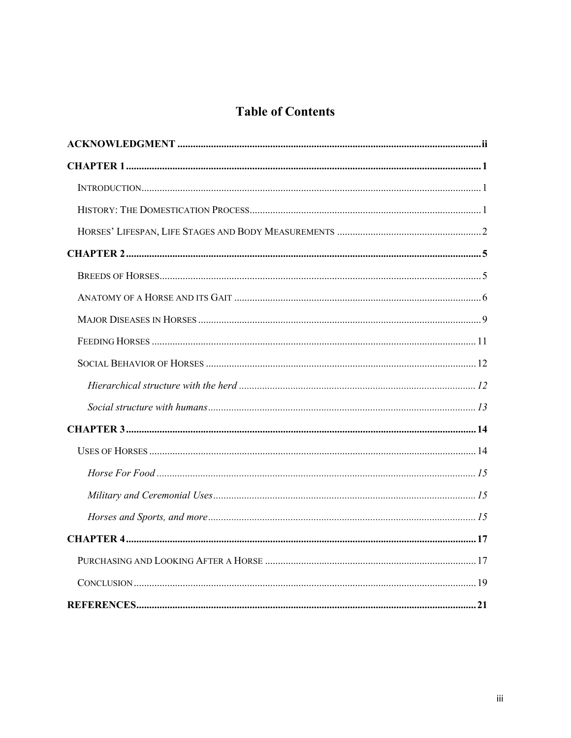# **Table of Contents**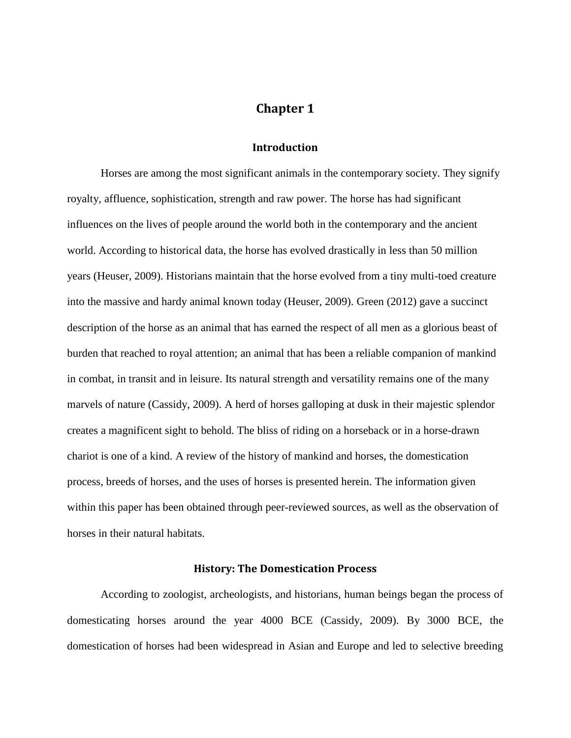## **Chapter 1**

#### **Introduction**

Horses are among the most significant animals in the contemporary society. They signify royalty, affluence, sophistication, strength and raw power. The horse has had significant influences on the lives of people around the world both in the contemporary and the ancient world. According to historical data, the horse has evolved drastically in less than 50 million years (Heuser, 2009). Historians maintain that the horse evolved from a tiny multi-toed creature into the massive and hardy animal known today (Heuser, 2009). Green (2012) gave a succinct description of the horse as an animal that has earned the respect of all men as a glorious beast of burden that reached to royal attention; an animal that has been a reliable companion of mankind in combat, in transit and in leisure. Its natural strength and versatility remains one of the many marvels of nature (Cassidy, 2009). A herd of horses galloping at dusk in their majestic splendor creates a magnificent sight to behold. The bliss of riding on a horseback or in a horse-drawn chariot is one of a kind. A review of the history of mankind and horses, the domestication process, breeds of horses, and the uses of horses is presented herein. The information given within this paper has been obtained through peer-reviewed sources, as well as the observation of horses in their natural habitats.

#### **History: The Domestication Process**

According to zoologist, archeologists, and historians, human beings began the process of domesticating horses around the year 4000 BCE (Cassidy, 2009). By 3000 BCE, the domestication of horses had been widespread in Asian and Europe and led to selective breeding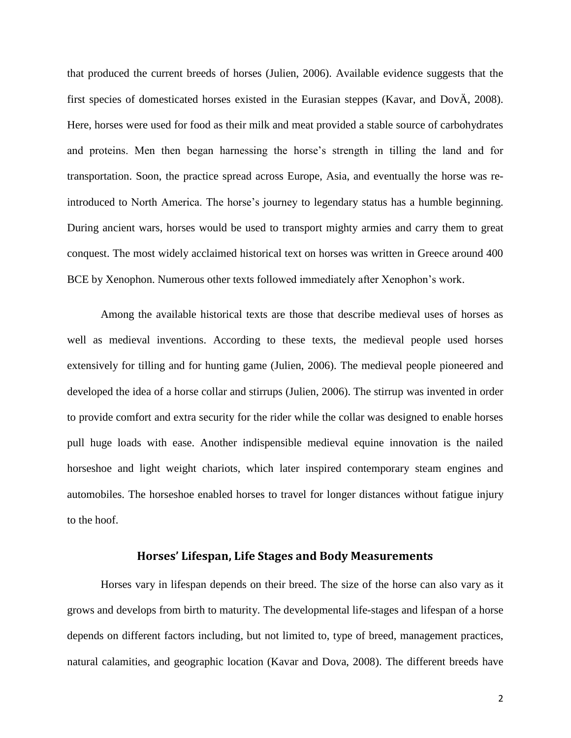that produced the current breeds of horses (Julien, 2006). Available evidence suggests that the first species of domesticated horses existed in the Eurasian steppes (Kavar, and DovÄ, 2008). Here, horses were used for food as their milk and meat provided a stable source of carbohydrates and proteins. Men then began harnessing the horse's strength in tilling the land and for transportation. Soon, the practice spread across Europe, Asia, and eventually the horse was reintroduced to North America. The horse's journey to legendary status has a humble beginning. During ancient wars, horses would be used to transport mighty armies and carry them to great conquest. The most widely acclaimed historical text on horses was written in Greece around 400 BCE by Xenophon. Numerous other texts followed immediately after Xenophon's work.

Among the available historical texts are those that describe medieval uses of horses as well as medieval inventions. According to these texts, the medieval people used horses extensively for tilling and for hunting game (Julien, 2006). The medieval people pioneered and developed the idea of a horse collar and stirrups (Julien, 2006). The stirrup was invented in order to provide comfort and extra security for the rider while the collar was designed to enable horses pull huge loads with ease. Another indispensible medieval equine innovation is the nailed horseshoe and light weight chariots, which later inspired contemporary steam engines and automobiles. The horseshoe enabled horses to travel for longer distances without fatigue injury to the hoof.

#### **Horses' Lifespan, Life Stages and Body Measurements**

Horses vary in lifespan depends on their breed. The size of the horse can also vary as it grows and develops from birth to maturity. The developmental life-stages and lifespan of a horse depends on different factors including, but not limited to, type of breed, management practices, natural calamities, and geographic location (Kavar and Dova, 2008). The different breeds have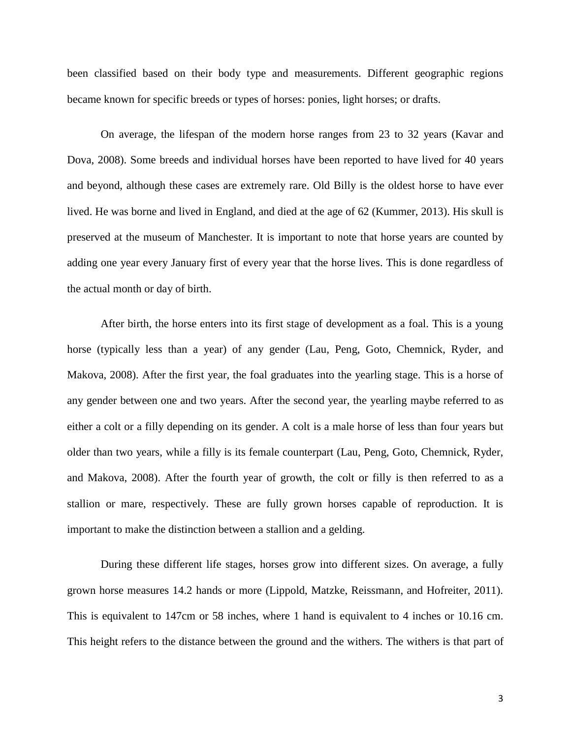been classified based on their body type and measurements. Different geographic regions became known for specific breeds or types of horses: ponies, light horses; or drafts.

On average, the lifespan of the modern horse ranges from 23 to 32 years (Kavar and Dova, 2008). Some breeds and individual horses have been reported to have lived for 40 years and beyond, although these cases are extremely rare. Old Billy is the oldest horse to have ever lived. He was borne and lived in England, and died at the age of 62 (Kummer, 2013). His skull is preserved at the museum of Manchester. It is important to note that horse years are counted by adding one year every January first of every year that the horse lives. This is done regardless of the actual month or day of birth.

After birth, the horse enters into its first stage of development as a foal. This is a young horse (typically less than a year) of any gender (Lau, Peng, Goto, Chemnick, Ryder, and Makova, 2008). After the first year, the foal graduates into the yearling stage. This is a horse of any gender between one and two years. After the second year, the yearling maybe referred to as either a colt or a filly depending on its gender. A colt is a male horse of less than four years but older than two years, while a filly is its female counterpart (Lau, Peng, Goto, Chemnick, Ryder, and Makova, 2008). After the fourth year of growth, the colt or filly is then referred to as a stallion or mare, respectively. These are fully grown horses capable of reproduction. It is important to make the distinction between a stallion and a gelding.

During these different life stages, horses grow into different sizes. On average, a fully grown horse measures 14.2 hands or more (Lippold, Matzke, Reissmann, and Hofreiter, 2011). This is equivalent to 147cm or 58 inches, where 1 hand is equivalent to 4 inches or 10.16 cm. This height refers to the distance between the ground and the withers. The withers is that part of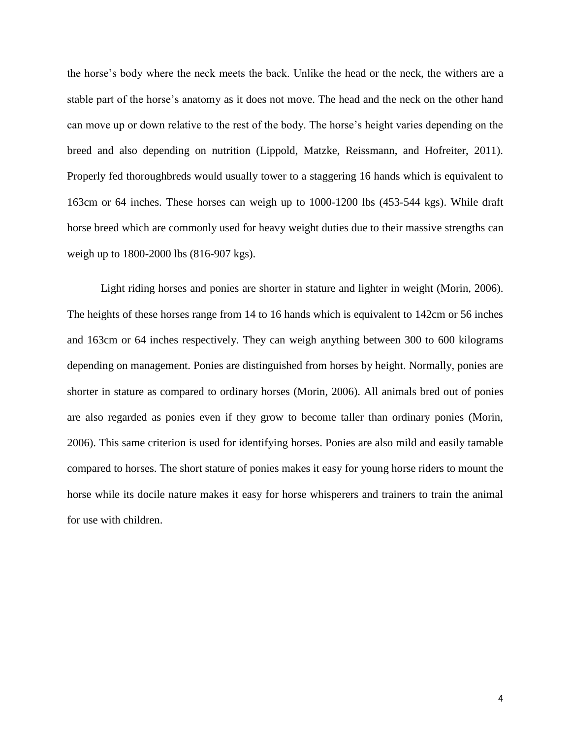the horse's body where the neck meets the back. Unlike the head or the neck, the withers are a stable part of the horse's anatomy as it does not move. The head and the neck on the other hand can move up or down relative to the rest of the body. The horse's height varies depending on the breed and also depending on nutrition (Lippold, Matzke, Reissmann, and Hofreiter, 2011). Properly fed thoroughbreds would usually tower to a staggering 16 hands which is equivalent to 163cm or 64 inches. These horses can weigh up to 1000-1200 lbs (453-544 kgs). While draft horse breed which are commonly used for heavy weight duties due to their massive strengths can weigh up to 1800-2000 lbs (816-907 kgs).

Light riding horses and ponies are shorter in stature and lighter in weight (Morin, 2006). The heights of these horses range from 14 to 16 hands which is equivalent to 142cm or 56 inches and 163cm or 64 inches respectively. They can weigh anything between 300 to 600 kilograms depending on management. Ponies are distinguished from horses by height. Normally, ponies are shorter in stature as compared to ordinary horses (Morin, 2006). All animals bred out of ponies are also regarded as ponies even if they grow to become taller than ordinary ponies (Morin, 2006). This same criterion is used for identifying horses. Ponies are also mild and easily tamable compared to horses. The short stature of ponies makes it easy for young horse riders to mount the horse while its docile nature makes it easy for horse whisperers and trainers to train the animal for use with children.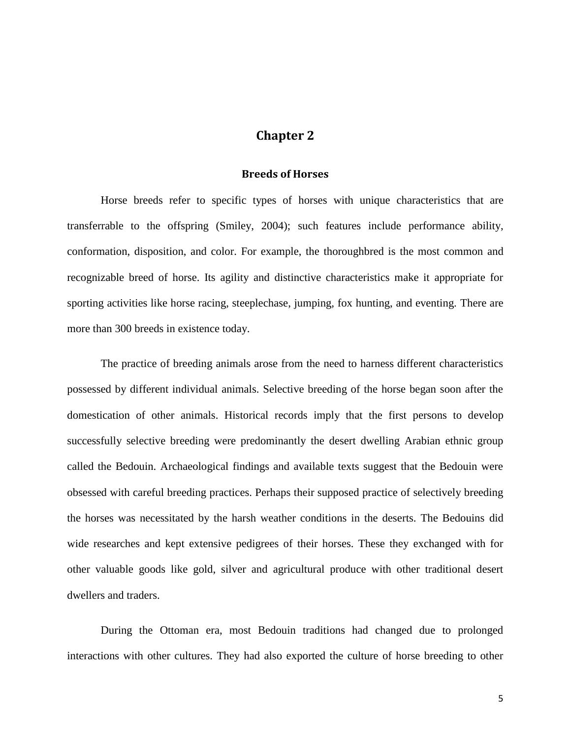## **Chapter 2**

### **Breeds of Horses**

Horse breeds refer to specific types of horses with unique characteristics that are transferrable to the offspring (Smiley, 2004); such features include performance ability, conformation, disposition, and color. For example, the thoroughbred is the most common and recognizable breed of horse. Its agility and distinctive characteristics make it appropriate for sporting activities like horse racing, steeplechase, jumping, fox hunting, and eventing. There are more than 300 breeds in existence today.

The practice of breeding animals arose from the need to harness different characteristics possessed by different individual animals. Selective breeding of the horse began soon after the domestication of other animals. Historical records imply that the first persons to develop successfully selective breeding were predominantly the desert dwelling Arabian ethnic group called the Bedouin. Archaeological findings and available texts suggest that the Bedouin were obsessed with careful breeding practices. Perhaps their supposed practice of selectively breeding the horses was necessitated by the harsh weather conditions in the deserts. The Bedouins did wide researches and kept extensive pedigrees of their horses. These they exchanged with for other valuable goods like gold, silver and agricultural produce with other traditional desert dwellers and traders.

During the Ottoman era, most Bedouin traditions had changed due to prolonged interactions with other cultures. They had also exported the culture of horse breeding to other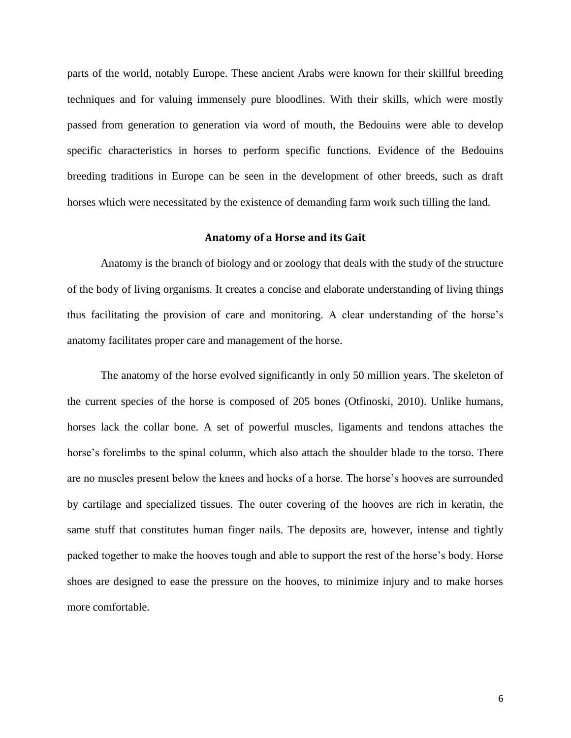parts of the world, notably Europe. These ancient Arabs were known for their skillful breeding techniques and for valuing immensely pure bloodlines. With their skills, which were mostly passed from generation to generation via word of mouth, the Bedouins were able to develop specific characteristics in horses to perform specific functions. Evidence of the Bedouins breeding traditions in Europe can be seen in the development of other breeds, such as draft horses which were necessitated by the existence of demanding farm work such tilling the land.

#### **Anatomy of a Horse and its Gait**

Anatomy is the branch of biology and or zoology that deals with the study of the structure of the body of living organisms. It creates a concise and elaborate understanding of living things thus facilitating the provision of care and monitoring. A clear understanding of the horse's anatomy facilitates proper care and management of the horse.

The anatomy of the horse evolved significantly in only 50 million years. The skeleton of the current species of the horse is composed of 205 bones (Otfinoski, 2010). Unlike humans, horses lack the collar bone. A set of powerful muscles, ligaments and tendons attaches the horse's forelimbs to the spinal column, which also attach the shoulder blade to the torso. There are no muscles present below the knees and hocks of a horse. The horse's hooves are surrounded by cartilage and specialized tissues. The outer covering of the hooves are rich in keratin, the same stuff that constitutes human finger nails. The deposits are, however, intense and tightly packed together to make the hooves tough and able to support the rest of the horse's body. Horse shoes are designed to ease the pressure on the hooves, to minimize injury and to make horses more comfortable.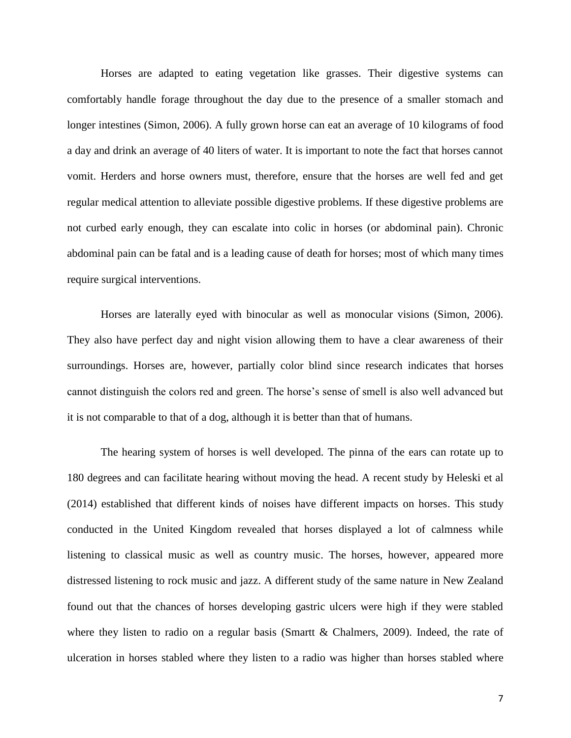Horses are adapted to eating vegetation like grasses. Their digestive systems can comfortably handle forage throughout the day due to the presence of a smaller stomach and longer intestines (Simon, 2006). A fully grown horse can eat an average of 10 kilograms of food a day and drink an average of 40 liters of water. It is important to note the fact that horses cannot vomit. Herders and horse owners must, therefore, ensure that the horses are well fed and get regular medical attention to alleviate possible digestive problems. If these digestive problems are not curbed early enough, they can escalate into colic in horses (or abdominal pain). Chronic abdominal pain can be fatal and is a leading cause of death for horses; most of which many times require surgical interventions.

Horses are laterally eyed with binocular as well as monocular visions (Simon, 2006). They also have perfect day and night vision allowing them to have a clear awareness of their surroundings. Horses are, however, partially color blind since research indicates that horses cannot distinguish the colors red and green. The horse's sense of smell is also well advanced but it is not comparable to that of a dog, although it is better than that of humans.

The hearing system of horses is well developed. The pinna of the ears can rotate up to 180 degrees and can facilitate hearing without moving the head. A recent study by Heleski et al (2014) established that different kinds of noises have different impacts on horses. This study conducted in the United Kingdom revealed that horses displayed a lot of calmness while listening to classical music as well as country music. The horses, however, appeared more distressed listening to rock music and jazz. A different study of the same nature in New Zealand found out that the chances of horses developing gastric ulcers were high if they were stabled where they listen to radio on a regular basis (Smartt & Chalmers, 2009). Indeed, the rate of ulceration in horses stabled where they listen to a radio was higher than horses stabled where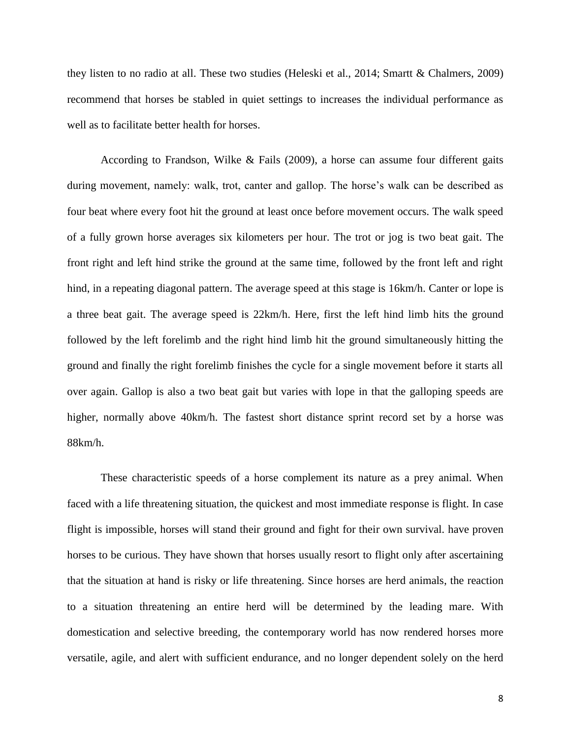they listen to no radio at all. These two studies (Heleski et al., 2014; Smartt & Chalmers, 2009) recommend that horses be stabled in quiet settings to increases the individual performance as well as to facilitate better health for horses.

According to Frandson, Wilke & Fails (2009), a horse can assume four different gaits during movement, namely: walk, trot, canter and gallop. The horse's walk can be described as four beat where every foot hit the ground at least once before movement occurs. The walk speed of a fully grown horse averages six kilometers per hour. The trot or jog is two beat gait. The front right and left hind strike the ground at the same time, followed by the front left and right hind, in a repeating diagonal pattern. The average speed at this stage is 16km/h. Canter or lope is a three beat gait. The average speed is 22km/h. Here, first the left hind limb hits the ground followed by the left forelimb and the right hind limb hit the ground simultaneously hitting the ground and finally the right forelimb finishes the cycle for a single movement before it starts all over again. Gallop is also a two beat gait but varies with lope in that the galloping speeds are higher, normally above 40km/h. The fastest short distance sprint record set by a horse was 88km/h.

These characteristic speeds of a horse complement its nature as a prey animal. When faced with a life threatening situation, the quickest and most immediate response is flight. In case flight is impossible, horses will stand their ground and fight for their own survival. have proven horses to be curious. They have shown that horses usually resort to flight only after ascertaining that the situation at hand is risky or life threatening. Since horses are herd animals, the reaction to a situation threatening an entire herd will be determined by the leading mare. With domestication and selective breeding, the contemporary world has now rendered horses more versatile, agile, and alert with sufficient endurance, and no longer dependent solely on the herd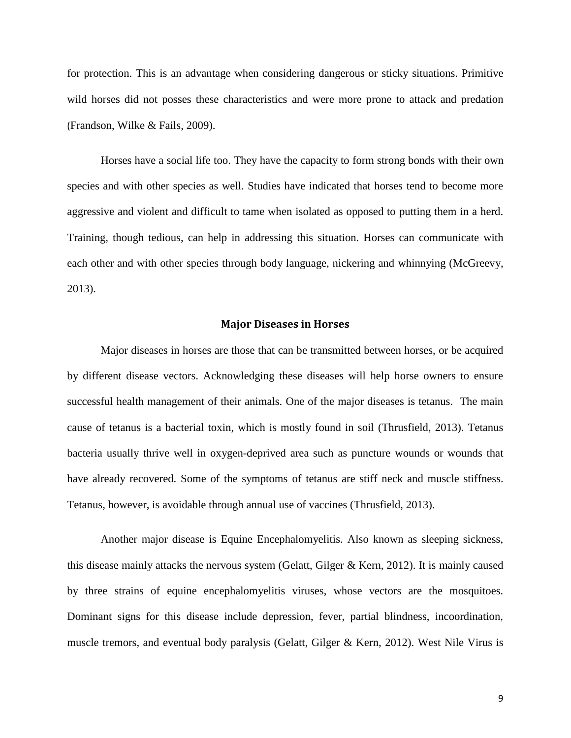for protection. This is an advantage when considering dangerous or sticky situations. Primitive wild horses did not posses these characteristics and were more prone to attack and predation (Frandson, Wilke & Fails, 2009).

Horses have a social life too. They have the capacity to form strong bonds with their own species and with other species as well. Studies have indicated that horses tend to become more aggressive and violent and difficult to tame when isolated as opposed to putting them in a herd. Training, though tedious, can help in addressing this situation. Horses can communicate with each other and with other species through body language, nickering and whinnying (McGreevy, 2013).

#### **Major Diseases in Horses**

Major diseases in horses are those that can be transmitted between horses, or be acquired by different disease vectors. Acknowledging these diseases will help horse owners to ensure successful health management of their animals. One of the major diseases is tetanus. The main cause of tetanus is a bacterial toxin, which is mostly found in soil (Thrusfield, 2013). Tetanus bacteria usually thrive well in oxygen-deprived area such as puncture wounds or wounds that have already recovered. Some of the symptoms of tetanus are stiff neck and muscle stiffness. Tetanus, however, is avoidable through annual use of vaccines (Thrusfield, 2013).

Another major disease is Equine Encephalomyelitis. Also known as sleeping sickness, this disease mainly attacks the nervous system (Gelatt, Gilger & Kern, 2012). It is mainly caused by three strains of equine encephalomyelitis viruses, whose vectors are the mosquitoes. Dominant signs for this disease include depression, fever, partial blindness, incoordination, muscle tremors, and eventual body paralysis (Gelatt, Gilger & Kern, 2012). West Nile Virus is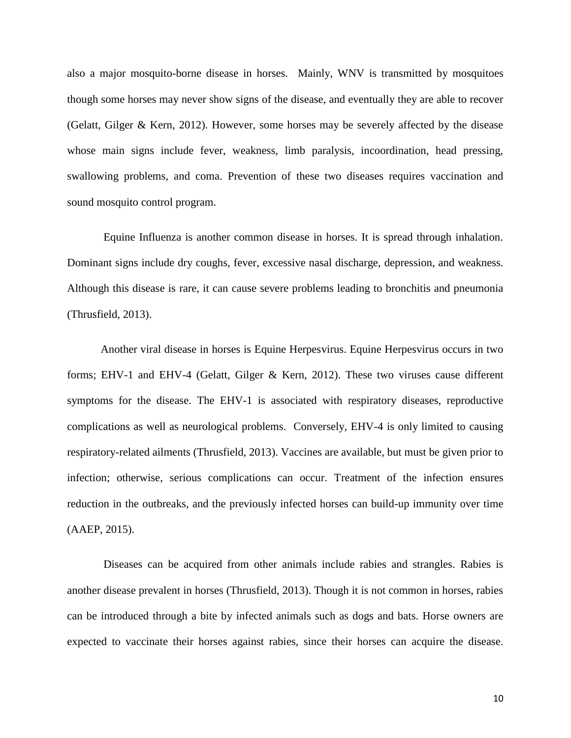also a major mosquito-borne disease in horses. Mainly, WNV is transmitted by mosquitoes though some horses may never show signs of the disease, and eventually they are able to recover (Gelatt, Gilger & Kern, 2012). However, some horses may be severely affected by the disease whose main signs include fever, weakness, limb paralysis, incoordination, head pressing, swallowing problems, and coma. Prevention of these two diseases requires vaccination and sound mosquito control program.

Equine Influenza is another common disease in horses. It is spread through inhalation. Dominant signs include dry coughs, fever, excessive nasal discharge, depression, and weakness. Although this disease is rare, it can cause severe problems leading to bronchitis and pneumonia (Thrusfield, 2013).

Another viral disease in horses is Equine Herpesvirus. Equine Herpesvirus occurs in two forms; EHV-1 and EHV-4 (Gelatt, Gilger & Kern, 2012). These two viruses cause different symptoms for the disease. The EHV-1 is associated with respiratory diseases, reproductive complications as well as neurological problems. Conversely, EHV-4 is only limited to causing respiratory-related ailments (Thrusfield, 2013). Vaccines are available, but must be given prior to infection; otherwise, serious complications can occur. Treatment of the infection ensures reduction in the outbreaks, and the previously infected horses can build-up immunity over time (AAEP, 2015).

Diseases can be acquired from other animals include rabies and strangles. Rabies is another disease prevalent in horses (Thrusfield, 2013). Though it is not common in horses, rabies can be introduced through a bite by infected animals such as dogs and bats. Horse owners are expected to vaccinate their horses against rabies, since their horses can acquire the disease.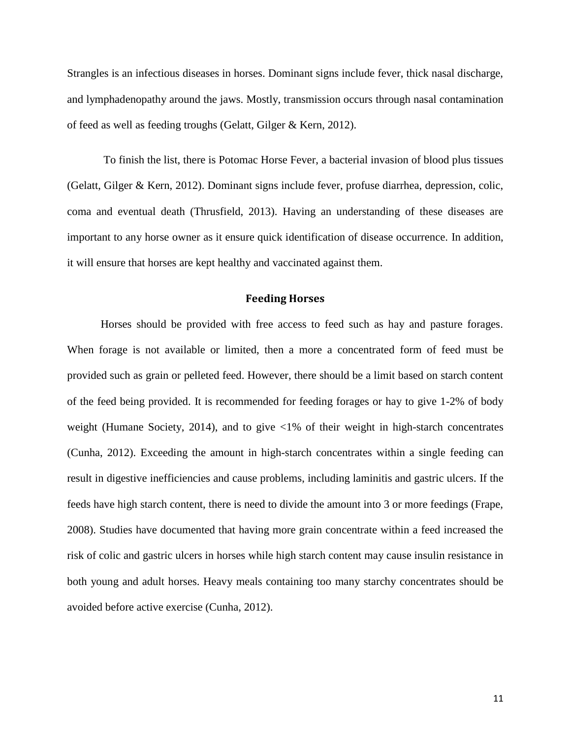Strangles is an infectious diseases in horses. Dominant signs include fever, thick nasal discharge, and lymphadenopathy around the jaws. Mostly, transmission occurs through nasal contamination of feed as well as feeding troughs (Gelatt, Gilger & Kern, 2012).

To finish the list, there is Potomac Horse Fever, a bacterial invasion of blood plus tissues (Gelatt, Gilger & Kern, 2012). Dominant signs include fever, profuse diarrhea, depression, colic, coma and eventual death (Thrusfield, 2013). Having an understanding of these diseases are important to any horse owner as it ensure quick identification of disease occurrence. In addition, it will ensure that horses are kept healthy and vaccinated against them.

### **Feeding Horses**

Horses should be provided with free access to feed such as hay and pasture forages. When forage is not available or limited, then a more a concentrated form of feed must be provided such as grain or pelleted feed. However, there should be a limit based on starch content of the feed being provided. It is recommended for feeding forages or hay to give 1-2% of body weight (Humane Society, 2014), and to give <1% of their weight in high-starch concentrates (Cunha, 2012). Exceeding the amount in high-starch concentrates within a single feeding can result in digestive inefficiencies and cause problems, including laminitis and gastric ulcers. If the feeds have high starch content, there is need to divide the amount into 3 or more feedings (Frape, 2008). Studies have documented that having more grain concentrate within a feed increased the risk of colic and gastric ulcers in horses while high starch content may cause insulin resistance in both young and adult horses. Heavy meals containing too many starchy concentrates should be avoided before active exercise (Cunha, 2012).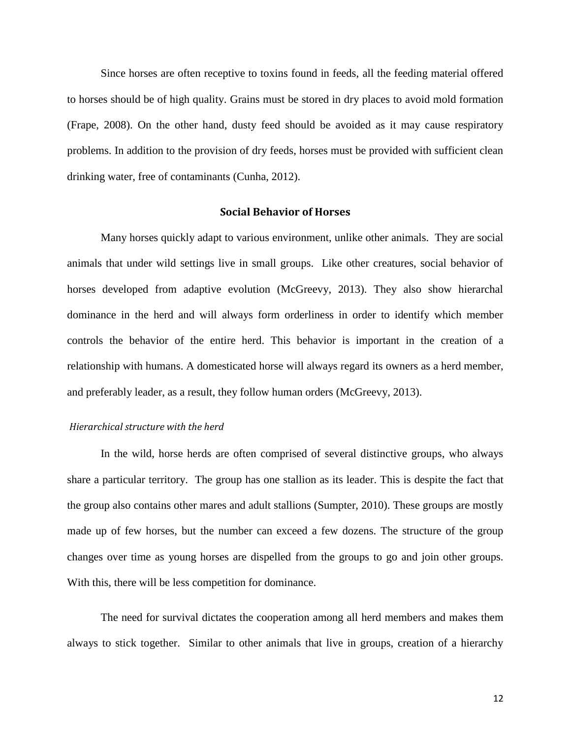Since horses are often receptive to toxins found in feeds, all the feeding material offered to horses should be of high quality. Grains must be stored in dry places to avoid mold formation (Frape, 2008). On the other hand, dusty feed should be avoided as it may cause respiratory problems. In addition to the provision of dry feeds, horses must be provided with sufficient clean drinking water, free of contaminants (Cunha, 2012).

#### **Social Behavior of Horses**

Many horses quickly adapt to various environment, unlike other animals. They are social animals that under wild settings live in small groups. Like other creatures, social behavior of horses developed from adaptive evolution (McGreevy, 2013). They also show hierarchal dominance in the herd and will always form orderliness in order to identify which member controls the behavior of the entire herd. This behavior is important in the creation of a relationship with humans. A domesticated horse will always regard its owners as a herd member, and preferably leader, as a result, they follow human orders (McGreevy, 2013).

#### *Hierarchical structure with the herd*

In the wild, horse herds are often comprised of several distinctive groups, who always share a particular territory. The group has one stallion as its leader. This is despite the fact that the group also contains other mares and adult stallions (Sumpter, 2010). These groups are mostly made up of few horses, but the number can exceed a few dozens. The structure of the group changes over time as young horses are dispelled from the groups to go and join other groups. With this, there will be less competition for dominance.

The need for survival dictates the cooperation among all herd members and makes them always to stick together. Similar to other animals that live in groups, creation of a hierarchy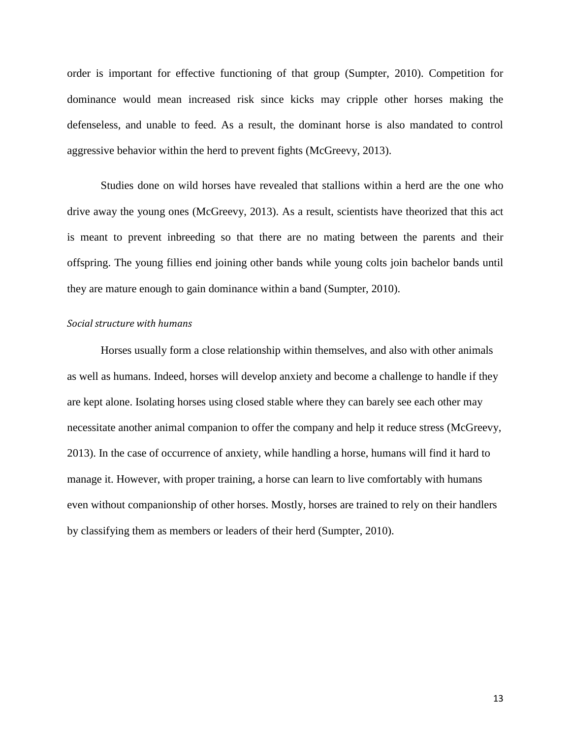order is important for effective functioning of that group (Sumpter, 2010). Competition for dominance would mean increased risk since kicks may cripple other horses making the defenseless, and unable to feed. As a result, the dominant horse is also mandated to control aggressive behavior within the herd to prevent fights (McGreevy, 2013).

Studies done on wild horses have revealed that stallions within a herd are the one who drive away the young ones (McGreevy, 2013). As a result, scientists have theorized that this act is meant to prevent inbreeding so that there are no mating between the parents and their offspring. The young fillies end joining other bands while young colts join bachelor bands until they are mature enough to gain dominance within a band (Sumpter, 2010).

### *Social structure with humans*

Horses usually form a close relationship within themselves, and also with other animals as well as humans. Indeed, horses will develop anxiety and become a challenge to handle if they are kept alone. Isolating horses using closed stable where they can barely see each other may necessitate another animal companion to offer the company and help it reduce stress (McGreevy, 2013). In the case of occurrence of anxiety, while handling a horse, humans will find it hard to manage it. However, with proper training, a horse can learn to live comfortably with humans even without companionship of other horses. Mostly, horses are trained to rely on their handlers by classifying them as members or leaders of their herd (Sumpter, 2010).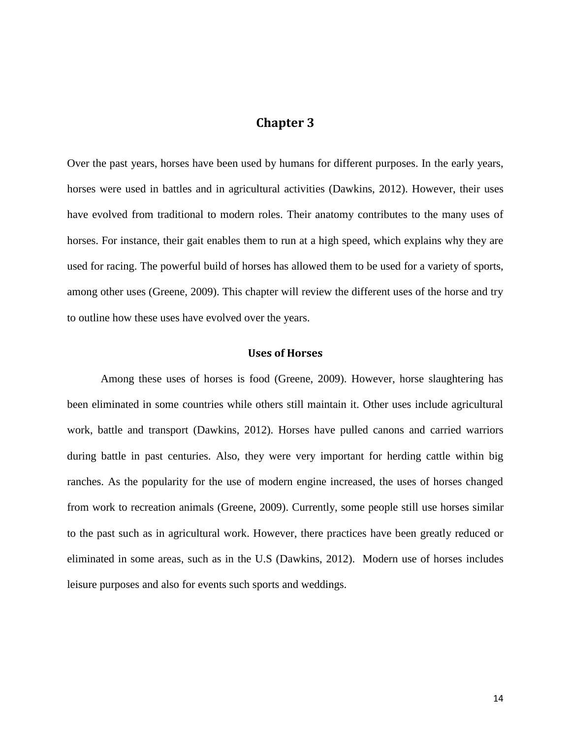## **Chapter 3**

Over the past years, horses have been used by humans for different purposes. In the early years, horses were used in battles and in agricultural activities (Dawkins, 2012). However, their uses have evolved from traditional to modern roles. Their anatomy contributes to the many uses of horses. For instance, their gait enables them to run at a high speed, which explains why they are used for racing. The powerful build of horses has allowed them to be used for a variety of sports, among other uses (Greene, 2009). This chapter will review the different uses of the horse and try to outline how these uses have evolved over the years.

#### **Uses of Horses**

Among these uses of horses is food (Greene, 2009). However, horse slaughtering has been eliminated in some countries while others still maintain it. Other uses include agricultural work, battle and transport (Dawkins, 2012). Horses have pulled canons and carried warriors during battle in past centuries. Also, they were very important for herding cattle within big ranches. As the popularity for the use of modern engine increased, the uses of horses changed from work to recreation animals (Greene, 2009). Currently, some people still use horses similar to the past such as in agricultural work. However, there practices have been greatly reduced or eliminated in some areas, such as in the U.S (Dawkins, 2012). Modern use of horses includes leisure purposes and also for events such sports and weddings.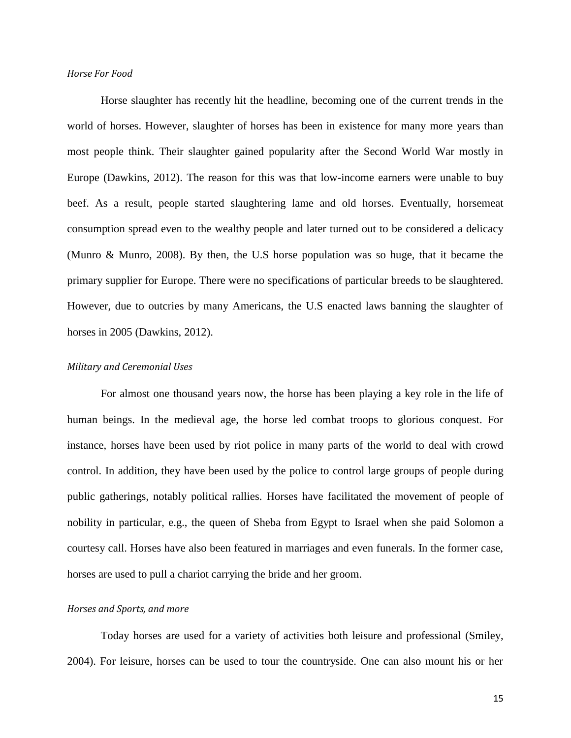#### *Horse For Food*

Horse slaughter has recently hit the headline, becoming one of the current trends in the world of horses. However, slaughter of horses has been in existence for many more years than most people think. Their slaughter gained popularity after the Second World War mostly in Europe (Dawkins, 2012). The reason for this was that low-income earners were unable to buy beef. As a result, people started slaughtering lame and old horses. Eventually, horsemeat consumption spread even to the wealthy people and later turned out to be considered a delicacy (Munro & Munro, 2008). By then, the U.S horse population was so huge, that it became the primary supplier for Europe. There were no specifications of particular breeds to be slaughtered. However, due to outcries by many Americans, the U.S enacted laws banning the slaughter of horses in 2005 (Dawkins, 2012).

#### *Military and Ceremonial Uses*

For almost one thousand years now, the horse has been playing a key role in the life of human beings. In the medieval age, the horse led combat troops to glorious conquest. For instance, horses have been used by riot police in many parts of the world to deal with crowd control. In addition, they have been used by the police to control large groups of people during public gatherings, notably political rallies. Horses have facilitated the movement of people of nobility in particular, e.g., the queen of Sheba from Egypt to Israel when she paid Solomon a courtesy call. Horses have also been featured in marriages and even funerals. In the former case, horses are used to pull a chariot carrying the bride and her groom.

#### *Horses and Sports, and more*

Today horses are used for a variety of activities both leisure and professional (Smiley, 2004). For leisure, horses can be used to tour the countryside. One can also mount his or her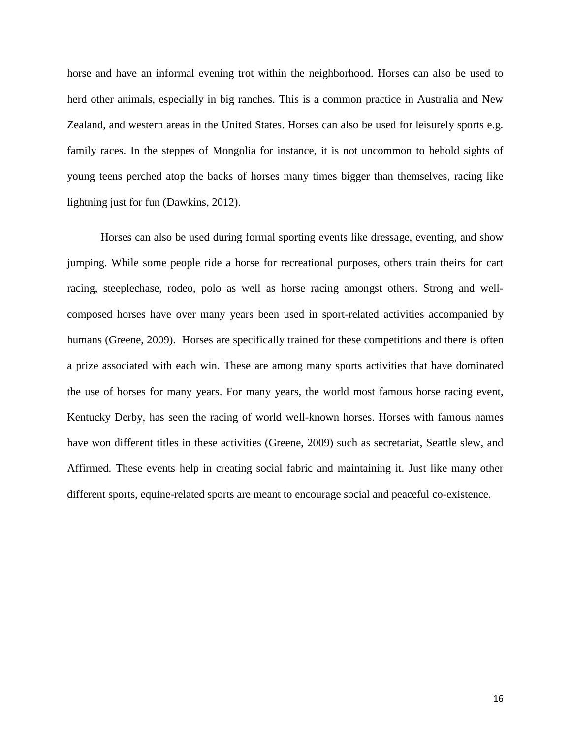horse and have an informal evening trot within the neighborhood. Horses can also be used to herd other animals, especially in big ranches. This is a common practice in Australia and New Zealand, and western areas in the United States. Horses can also be used for leisurely sports e.g. family races. In the steppes of Mongolia for instance, it is not uncommon to behold sights of young teens perched atop the backs of horses many times bigger than themselves, racing like lightning just for fun (Dawkins, 2012).

Horses can also be used during formal sporting events like dressage, eventing, and show jumping. While some people ride a horse for recreational purposes, others train theirs for cart racing, steeplechase, rodeo, polo as well as horse racing amongst others. Strong and wellcomposed horses have over many years been used in sport-related activities accompanied by humans (Greene, 2009). Horses are specifically trained for these competitions and there is often a prize associated with each win. These are among many sports activities that have dominated the use of horses for many years. For many years, the world most famous horse racing event, Kentucky Derby, has seen the racing of world well-known horses. Horses with famous names have won different titles in these activities (Greene, 2009) such as secretariat, Seattle slew, and Affirmed. These events help in creating social fabric and maintaining it. Just like many other different sports, equine-related sports are meant to encourage social and peaceful co-existence.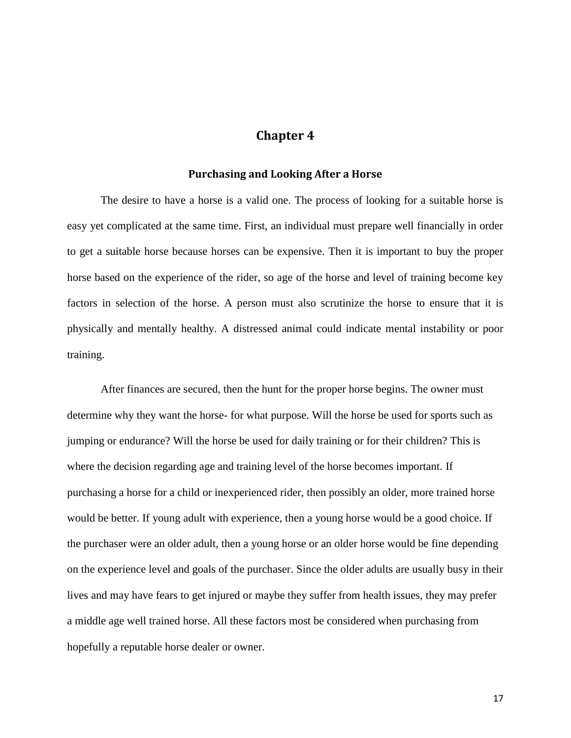## **Chapter 4**

#### **Purchasing and Looking After a Horse**

The desire to have a horse is a valid one. The process of looking for a suitable horse is easy yet complicated at the same time. First, an individual must prepare well financially in order to get a suitable horse because horses can be expensive. Then it is important to buy the proper horse based on the experience of the rider, so age of the horse and level of training become key factors in selection of the horse. A person must also scrutinize the horse to ensure that it is physically and mentally healthy. A distressed animal could indicate mental instability or poor training.

After finances are secured, then the hunt for the proper horse begins. The owner must determine why they want the horse- for what purpose. Will the horse be used for sports such as jumping or endurance? Will the horse be used for daily training or for their children? This is where the decision regarding age and training level of the horse becomes important. If purchasing a horse for a child or inexperienced rider, then possibly an older, more trained horse would be better. If young adult with experience, then a young horse would be a good choice. If the purchaser were an older adult, then a young horse or an older horse would be fine depending on the experience level and goals of the purchaser. Since the older adults are usually busy in their lives and may have fears to get injured or maybe they suffer from health issues, they may prefer a middle age well trained horse. All these factors most be considered when purchasing from hopefully a reputable horse dealer or owner.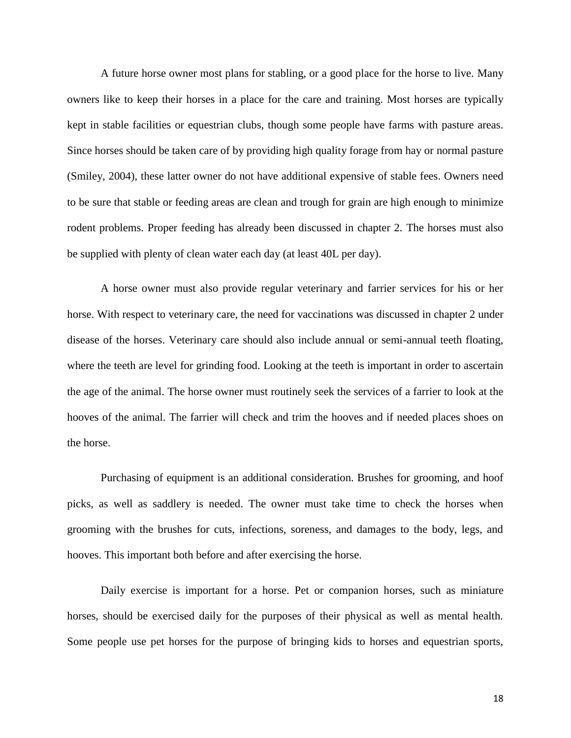A future horse owner most plans for stabling, or a good place for the horse to live. Many owners like to keep their horses in a place for the care and training. Most horses are typically kept in stable facilities or equestrian clubs, though some people have farms with pasture areas. Since horses should be taken care of by providing high quality forage from hay or normal pasture (Smiley, 2004), these latter owner do not have additional expensive of stable fees. Owners need to be sure that stable or feeding areas are clean and trough for grain are high enough to minimize rodent problems. Proper feeding has already been discussed in chapter 2. The horses must also be supplied with plenty of clean water each day (at least 40L per day).

A horse owner must also provide regular veterinary and farrier services for his or her horse. With respect to veterinary care, the need for vaccinations was discussed in chapter 2 under disease of the horses. Veterinary care should also include annual or semi-annual teeth floating, where the teeth are level for grinding food. Looking at the teeth is important in order to ascertain the age of the animal. The horse owner must routinely seek the services of a farrier to look at the hooves of the animal. The farrier will check and trim the hooves and if needed places shoes on the horse.

Purchasing of equipment is an additional consideration. Brushes for grooming, and hoof picks, as well as saddlery is needed. The owner must take time to check the horses when grooming with the brushes for cuts, infections, soreness, and damages to the body, legs, and hooves. This important both before and after exercising the horse.

Daily exercise is important for a horse. Pet or companion horses, such as miniature horses, should be exercised daily for the purposes of their physical as well as mental health. Some people use pet horses for the purpose of bringing kids to horses and equestrian sports,

18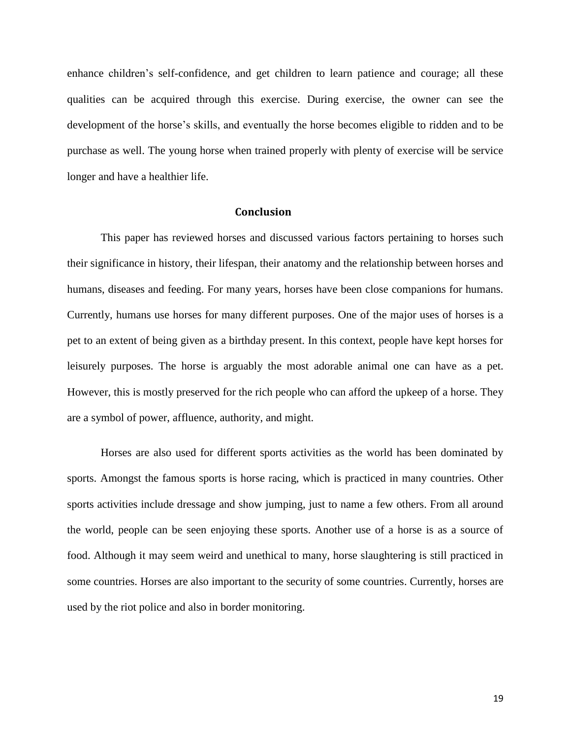enhance children's self-confidence, and get children to learn patience and courage; all these qualities can be acquired through this exercise. During exercise, the owner can see the development of the horse's skills, and eventually the horse becomes eligible to ridden and to be purchase as well. The young horse when trained properly with plenty of exercise will be service longer and have a healthier life.

### **Conclusion**

This paper has reviewed horses and discussed various factors pertaining to horses such their significance in history, their lifespan, their anatomy and the relationship between horses and humans, diseases and feeding. For many years, horses have been close companions for humans. Currently, humans use horses for many different purposes. One of the major uses of horses is a pet to an extent of being given as a birthday present. In this context, people have kept horses for leisurely purposes. The horse is arguably the most adorable animal one can have as a pet. However, this is mostly preserved for the rich people who can afford the upkeep of a horse. They are a symbol of power, affluence, authority, and might.

Horses are also used for different sports activities as the world has been dominated by sports. Amongst the famous sports is horse racing, which is practiced in many countries. Other sports activities include dressage and show jumping, just to name a few others. From all around the world, people can be seen enjoying these sports. Another use of a horse is as a source of food. Although it may seem weird and unethical to many, horse slaughtering is still practiced in some countries. Horses are also important to the security of some countries. Currently, horses are used by the riot police and also in border monitoring.

19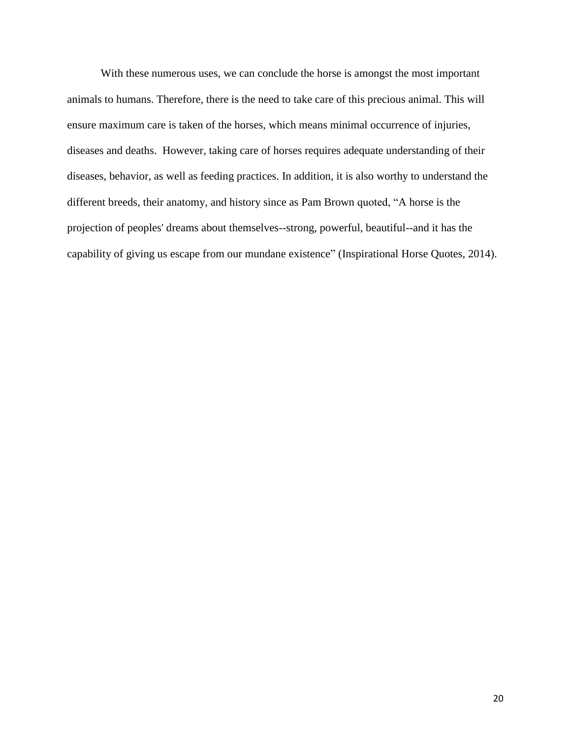With these numerous uses, we can conclude the horse is amongst the most important animals to humans. Therefore, there is the need to take care of this precious animal. This will ensure maximum care is taken of the horses, which means minimal occurrence of injuries, diseases and deaths. However, taking care of horses requires adequate understanding of their diseases, behavior, as well as feeding practices. In addition, it is also worthy to understand the different breeds, their anatomy, and history since as Pam Brown quoted, "A horse is the projection of peoples' dreams about themselves--strong, powerful, beautiful--and it has the capability of giving us escape from our mundane existence" (Inspirational Horse Quotes, 2014).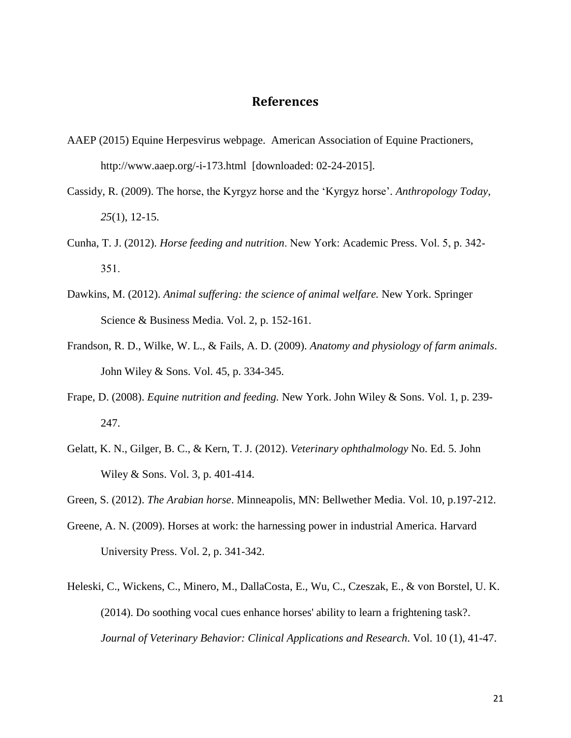## **References**

- AAEP (2015) Equine Herpesvirus webpage. American Association of Equine Practioners, http://www.aaep.org/-i-173.html [downloaded: 02-24-2015].
- Cassidy, R. (2009). The horse, the Kyrgyz horse and the 'Kyrgyz horse'. *Anthropology Today*, *25*(1), 12-15.
- Cunha, T. J. (2012). *Horse feeding and nutrition*. New York: Academic Press. Vol. 5, p. 342- 351.
- Dawkins, M. (2012). *Animal suffering: the science of animal welfare.* New York. Springer Science & Business Media. Vol. 2, p. 152-161.
- Frandson, R. D., Wilke, W. L., & Fails, A. D. (2009). *Anatomy and physiology of farm animals*. John Wiley & Sons. Vol. 45, p. 334-345.
- Frape, D. (2008). *Equine nutrition and feeding.* New York. John Wiley & Sons. Vol. 1, p. 239- 247.
- Gelatt, K. N., Gilger, B. C., & Kern, T. J. (2012). *Veterinary ophthalmology* No. Ed. 5. John Wiley & Sons. Vol. 3, p. 401-414.
- Green, S. (2012). *The Arabian horse*. Minneapolis, MN: Bellwether Media. Vol. 10, p.197-212.
- Greene, A. N. (2009). Horses at work: the harnessing power in industrial America. Harvard University Press. Vol. 2, p. 341-342.
- Heleski, C., Wickens, C., Minero, M., DallaCosta, E., Wu, C., Czeszak, E., & von Borstel, U. K. (2014). Do soothing vocal cues enhance horses' ability to learn a frightening task?. *Journal of Veterinary Behavior: Clinical Applications and Research*. Vol. 10 (1), 41-47.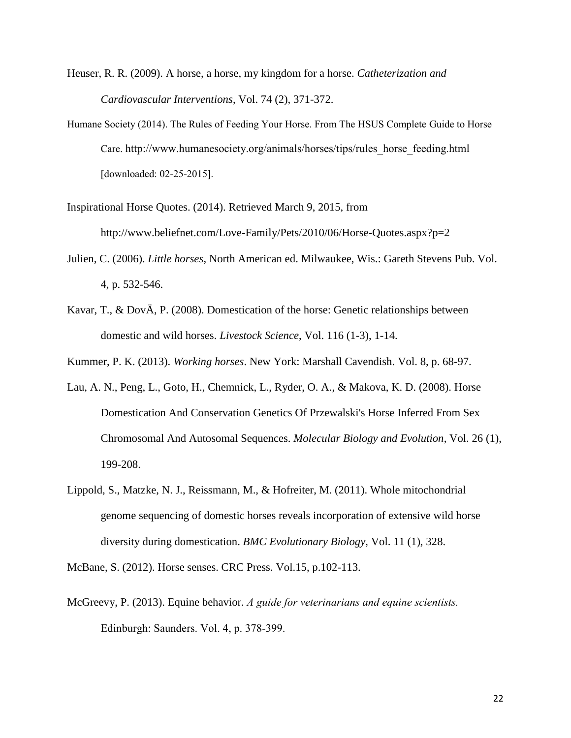- Heuser, R. R. (2009). A horse, a horse, my kingdom for a horse. *Catheterization and Cardiovascular Interventions*, Vol. 74 (2), 371-372.
- Humane Society (2014). The Rules of Feeding Your Horse. From The HSUS Complete Guide to Horse Care. http://www.humanesociety.org/animals/horses/tips/rules\_horse\_feeding.html [downloaded: 02-25-2015].
- Inspirational Horse Quotes. (2014). Retrieved March 9, 2015, from http://www.beliefnet.com/Love-Family/Pets/2010/06/Horse-Quotes.aspx?p=2
- Julien, C. (2006). *Little horses*, North American ed. Milwaukee, Wis.: Gareth Stevens Pub. Vol. 4, p. 532-546.
- Kavar, T., & DovÄ, P. (2008). Domestication of the horse: Genetic relationships between domestic and wild horses. *Livestock Science*, Vol. 116 (1-3), 1-14.

Kummer, P. K. (2013). *Working horses*. New York: Marshall Cavendish. Vol. 8, p. 68-97.

- Lau, A. N., Peng, L., Goto, H., Chemnick, L., Ryder, O. A., & Makova, K. D. (2008). Horse Domestication And Conservation Genetics Of Przewalski's Horse Inferred From Sex Chromosomal And Autosomal Sequences. *Molecular Biology and Evolution*, Vol. 26 (1), 199-208.
- Lippold, S., Matzke, N. J., Reissmann, M., & Hofreiter, M. (2011). Whole mitochondrial genome sequencing of domestic horses reveals incorporation of extensive wild horse diversity during domestication. *BMC Evolutionary Biology*, Vol. 11 (1), 328.

McBane, S. (2012). Horse senses. CRC Press. Vol.15, p.102-113.

McGreevy, P. (2013). Equine behavior. *A guide for veterinarians and equine scientists.* Edinburgh: Saunders. Vol. 4, p. 378-399.